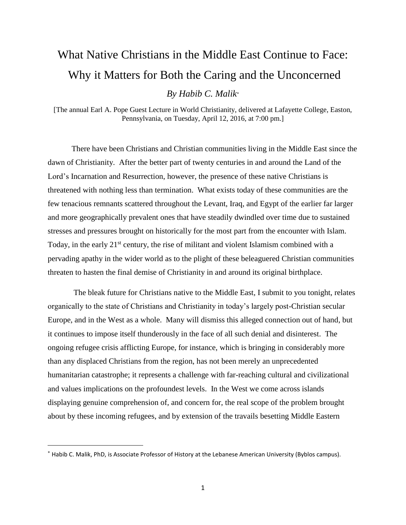## What Native Christians in the Middle East Continue to Face: Why it Matters for Both the Caring and the Unconcerned *By Habib C. Malik*

[The annual Earl A. Pope Guest Lecture in World Christianity, delivered at Lafayette College, Easton, Pennsylvania, on Tuesday, April 12, 2016, at 7:00 pm.]

There have been Christians and Christian communities living in the Middle East since the dawn of Christianity. After the better part of twenty centuries in and around the Land of the Lord's Incarnation and Resurrection, however, the presence of these native Christians is threatened with nothing less than termination. What exists today of these communities are the few tenacious remnants scattered throughout the Levant, Iraq, and Egypt of the earlier far larger and more geographically prevalent ones that have steadily dwindled over time due to sustained stresses and pressures brought on historically for the most part from the encounter with Islam. Today, in the early  $21<sup>st</sup>$  century, the rise of militant and violent Islamism combined with a pervading apathy in the wider world as to the plight of these beleaguered Christian communities threaten to hasten the final demise of Christianity in and around its original birthplace.

The bleak future for Christians native to the Middle East, I submit to you tonight, relates organically to the state of Christians and Christianity in today's largely post-Christian secular Europe, and in the West as a whole. Many will dismiss this alleged connection out of hand, but it continues to impose itself thunderously in the face of all such denial and disinterest. The ongoing refugee crisis afflicting Europe, for instance, which is bringing in considerably more than any displaced Christians from the region, has not been merely an unprecedented humanitarian catastrophe; it represents a challenge with far-reaching cultural and civilizational and values implications on the profoundest levels. In the West we come across islands displaying genuine comprehension of, and concern for, the real scope of the problem brought about by these incoming refugees, and by extension of the travails besetting Middle Eastern

Habib C. Malik, PhD, is Associate Professor of History at the Lebanese American University (Byblos campus).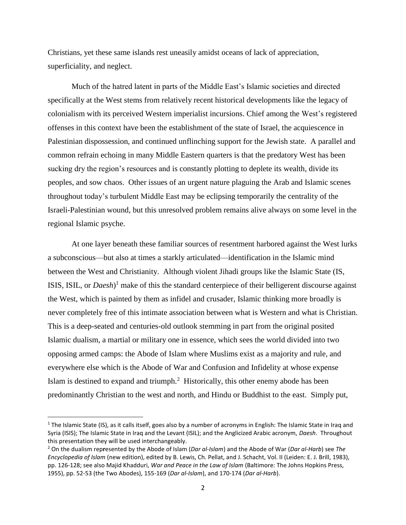Christians, yet these same islands rest uneasily amidst oceans of lack of appreciation, superficiality, and neglect.

Much of the hatred latent in parts of the Middle East's Islamic societies and directed specifically at the West stems from relatively recent historical developments like the legacy of colonialism with its perceived Western imperialist incursions. Chief among the West's registered offenses in this context have been the establishment of the state of Israel, the acquiescence in Palestinian dispossession, and continued unflinching support for the Jewish state. A parallel and common refrain echoing in many Middle Eastern quarters is that the predatory West has been sucking dry the region's resources and is constantly plotting to deplete its wealth, divide its peoples, and sow chaos. Other issues of an urgent nature plaguing the Arab and Islamic scenes throughout today's turbulent Middle East may be eclipsing temporarily the centrality of the Israeli-Palestinian wound, but this unresolved problem remains alive always on some level in the regional Islamic psyche.

At one layer beneath these familiar sources of resentment harbored against the West lurks a subconscious—but also at times a starkly articulated—identification in the Islamic mind between the West and Christianity. Although violent Jihadi groups like the Islamic State (IS, ISIS, ISIL, or *Daesh*) <sup>1</sup> make of this the standard centerpiece of their belligerent discourse against the West, which is painted by them as infidel and crusader, Islamic thinking more broadly is never completely free of this intimate association between what is Western and what is Christian. This is a deep-seated and centuries-old outlook stemming in part from the original posited Islamic dualism, a martial or military one in essence, which sees the world divided into two opposing armed camps: the Abode of Islam where Muslims exist as a majority and rule, and everywhere else which is the Abode of War and Confusion and Infidelity at whose expense Islam is destined to expand and triumph. $2$  Historically, this other enemy abode has been predominantly Christian to the west and north, and Hindu or Buddhist to the east. Simply put,

 $1$  The Islamic State (IS), as it calls itself, goes also by a number of acronyms in English: The Islamic State in Iraq and Syria (ISIS); The Islamic State in Iraq and the Levant (ISIL); and the Anglicized Arabic acronym, *Daesh*. Throughout this presentation they will be used interchangeably.

<sup>2</sup> On the dualism rep**r**esented by the Abode of Islam (*Dar al-Islam*) and the Abode of War (*Dar al-Harb*) see *The Encyclopedia of Islam* (new edition), edited by B. Lewis, Ch. Pellat, and J. Schacht, Vol. II (Leiden: E. J. Brill, 1983), pp. 126-128; see also Majid Khadduri, *War and Peace in the Law of Islam* (Baltimore: The Johns Hopkins Press, 1955), pp. 52-53 (the Two Abodes), 155-169 (*Dar al-Islam*), and 170-174 (*Dar al-Harb*).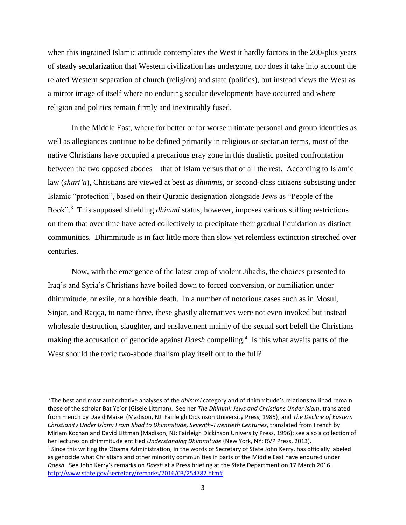when this ingrained Islamic attitude contemplates the West it hardly factors in the 200-plus years of steady secularization that Western civilization has undergone, nor does it take into account the related Western separation of church (religion) and state (politics), but instead views the West as a mirror image of itself where no enduring secular developments have occurred and where religion and politics remain firmly and inextricably fused.

In the Middle East, where for better or for worse ultimate personal and group identities as well as allegiances continue to be defined primarily in religious or sectarian terms, most of the native Christians have occupied a precarious gray zone in this dualistic posited confrontation between the two opposed abodes—that of Islam versus that of all the rest. According to Islamic law (*shari'a*), Christians are viewed at best as *dhimmis*, or second-class citizens subsisting under Islamic "protection", based on their Quranic designation alongside Jews as "People of the Book".<sup>3</sup> This supposed shielding *dhimmi* status, however, imposes various stifling restrictions on them that over time have acted collectively to precipitate their gradual liquidation as distinct communities. Dhimmitude is in fact little more than slow yet relentless extinction stretched over centuries.

Now, with the emergence of the latest crop of violent Jihadis, the choices presented to Iraq's and Syria's Christians have boiled down to forced conversion, or humiliation under dhimmitude, or exile, or a horrible death. In a number of notorious cases such as in Mosul, Sinjar, and Raqqa, to name three, these ghastly alternatives were not even invoked but instead wholesale destruction, slaughter, and enslavement mainly of the sexual sort befell the Christians making the accusation of genocide against *Daesh* compelling.<sup>4</sup> Is this what awaits parts of the West should the toxic two-abode dualism play itself out to the full?

<sup>3</sup> The best and most authoritative analyses of the *dhimmi* category and of dhimmitude's relations to Jihad remain those of the scholar Bat Ye'or (Gisele Littman). See her *The Dhimmi: Jews and Christians Under Islam*, translated from French by David Maisel (Madison, NJ: Fairleigh Dickinson University Press, 1985); and *The Decline of Eastern Christianity Under Islam: From Jihad to Dhimmitude, Seventh-Twentieth Centuries*, translated from French by Miriam Kochan and David Littman (Madison, NJ: Fairleigh Dickinson University Press, 1996); see also a collection of her lectures on dhimmitude entitled *Understanding Dhimmitude* (New York, NY: RVP Press, 2013).

<sup>&</sup>lt;sup>4</sup> Since this writing the Obama Administration, in the words of Secretary of State John Kerry, has officially labeled as genocide what Christians and other minority communities in parts of the Middle East have endured under *Daesh*. See John Kerry's remarks on *Daesh* at a Press briefing at the State Department on 17 March 2016. [http://www.state.gov/secretary/remarks/2016/03/254782.htm#](http://www.state.gov/secretary/remarks/2016/03/254782.htm)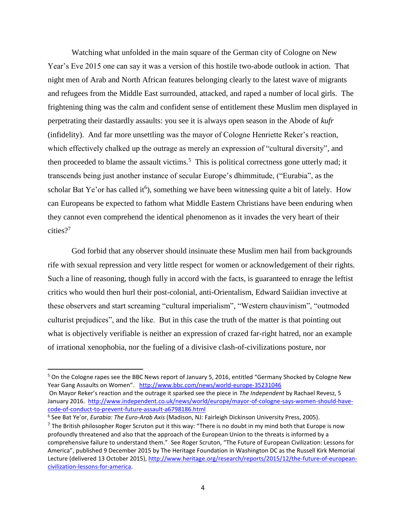Watching what unfolded in the main square of the German city of Cologne on New Year's Eve 2015 one can say it was a version of this hostile two-abode outlook in action. That night men of Arab and North African features belonging clearly to the latest wave of migrants and refugees from the Middle East surrounded, attacked, and raped a number of local girls. The frightening thing was the calm and confident sense of entitlement these Muslim men displayed in perpetrating their dastardly assaults: you see it is always open season in the Abode of *kufr* (infidelity). And far more unsettling was the mayor of Cologne Henriette Reker's reaction, which effectively chalked up the outrage as merely an expression of "cultural diversity", and then proceeded to blame the assault victims.<sup>5</sup> This is political correctness gone utterly mad; it transcends being just another instance of secular Europe's dhimmitude, ("Eurabia", as the scholar Bat Ye'or has called it<sup>6</sup>), something we have been witnessing quite a bit of lately. How can Europeans be expected to fathom what Middle Eastern Christians have been enduring when they cannot even comprehend the identical phenomenon as it invades the very heart of their cities?<sup>7</sup>

God forbid that any observer should insinuate these Muslim men hail from backgrounds rife with sexual repression and very little respect for women or acknowledgement of their rights. Such a line of reasoning, though fully in accord with the facts, is guaranteed to enrage the leftist critics who would then hurl their post-colonial, anti-Orientalism, Edward Saiidian invective at these observers and start screaming "cultural imperialism", "Western chauvinism", "outmoded culturist prejudices", and the like. But in this case the truth of the matter is that pointing out what is objectively verifiable is neither an expression of crazed far-right hatred, nor an example of irrational xenophobia, nor the fueling of a divisive clash-of-civilizations posture, nor

<sup>&</sup>lt;sup>5</sup> On the Cologne rapes see the BBC News report of January 5, 2016, entitled "Germany Shocked by Cologne New Year Gang Assaults on Women". <http://www.bbc.com/news/world-europe-35231046>

On Mayor Reker's reaction and the outrage it sparked see the piece in *The Independent* by Rachael Revesz, 5 January 2016. [http://www.independent.co.uk/news/world/europe/mayor-of-cologne-says-women-should-have](http://www.independent.co.uk/news/world/europe/mayor-of-cologne-says-women-should-have-code-of-conduct-to-prevent-future-assault-a6798186.html)[code-of-conduct-to-prevent-future-assault-a6798186.html](http://www.independent.co.uk/news/world/europe/mayor-of-cologne-says-women-should-have-code-of-conduct-to-prevent-future-assault-a6798186.html)

<sup>6</sup> See Bat Ye'or, *Eurabia: The Euro-Arab Axis* (Madison, NJ: Fairleigh Dickinson University Press, 2005).

<sup>&</sup>lt;sup>7</sup> The British philosopher Roger Scruton put it this way: "There is no doubt in my mind both that Europe is now profoundly threatened and also that the approach of the European Union to the threats is informed by a comprehensive failure to understand them." See Roger Scruton, "The Future of European Civilization: Lessons for America", published 9 December 2015 by The Heritage Foundation in Washington DC as the Russell Kirk Memorial Lecture (delivered 13 October 2015), [http://www.heritage.org/research/reports/2015/12/the-future-of-european](http://www.heritage.org/research/reports/2015/12/the-future-of-european-civilization-lessons-for-america)[civilization-lessons-for-america.](http://www.heritage.org/research/reports/2015/12/the-future-of-european-civilization-lessons-for-america)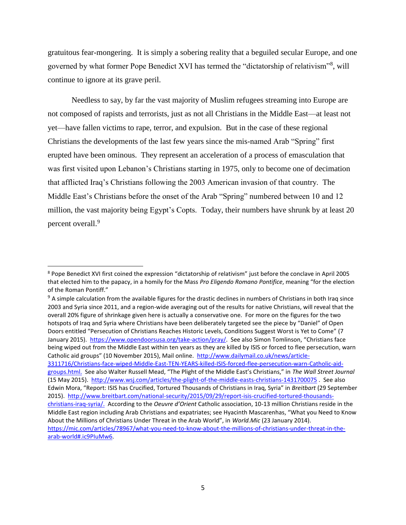gratuitous fear-mongering. It is simply a sobering reality that a beguiled secular Europe, and one governed by what former Pope Benedict XVI has termed the "dictatorship of relativism"<sup>8</sup>, will continue to ignore at its grave peril.

Needless to say, by far the vast majority of Muslim refugees streaming into Europe are not composed of rapists and terrorists, just as not all Christians in the Middle East—at least not yet—have fallen victims to rape, terror, and expulsion. But in the case of these regional Christians the developments of the last few years since the mis-named Arab "Spring" first erupted have been ominous. They represent an acceleration of a process of emasculation that was first visited upon Lebanon's Christians starting in 1975, only to become one of decimation that afflicted Iraq's Christians following the 2003 American invasion of that country. The Middle East's Christians before the onset of the Arab "Spring" numbered between 10 and 12 million, the vast majority being Egypt's Copts. Today, their numbers have shrunk by at least 20 percent overall.<sup>9</sup>

<sup>&</sup>lt;sup>8</sup> Pope Benedict XVI first coined the expression "dictatorship of relativism" just before the conclave in April 2005 that elected him to the papacy, in a homily for the Mass *Pro Eligendo Romano Pontifice*, meaning "for the election of the Roman Pontiff."

<sup>&</sup>lt;sup>9</sup> A simple calculation from the available figures for the drastic declines in numbers of Christians in both Iraq since 2003 and Syria since 2011, and a region-wide averaging out of the results for native Christians, will reveal that the overall 20% figure of shrinkage given here is actually a conservative one. For more on the figures for the two hotspots of Iraq and Syria where Christians have been deliberately targeted see the piece by "Daniel" of Open Doors entitled "Persecution of Christians Reaches Historic Levels, Conditions Suggest Worst is Yet to Come" (7 January 2015). [https://www.opendoorsusa.org/take-action/pray/.](https://www.opendoorsusa.org/take-action/pray/) See also Simon Tomlinson, "Christians face being wiped out from the Middle East within ten years as they are killed by ISIS or forced to flee persecution, warn Catholic aid groups" (10 November 2015), Mail online. [http://www.dailymail.co.uk/news/article-](http://www.dailymail.co.uk/news/article-3311716/Christians-face-wiped-Middle-East-TEN-YEARS-killed-ISIS-forced-flee-persecution-warn-Catholic-aid-groups.html)[3311716/Christians-face-wiped-Middle-East-TEN-YEARS-killed-ISIS-forced-flee-persecution-warn-Catholic-aid](http://www.dailymail.co.uk/news/article-3311716/Christians-face-wiped-Middle-East-TEN-YEARS-killed-ISIS-forced-flee-persecution-warn-Catholic-aid-groups.html)[groups.html.](http://www.dailymail.co.uk/news/article-3311716/Christians-face-wiped-Middle-East-TEN-YEARS-killed-ISIS-forced-flee-persecution-warn-Catholic-aid-groups.html) See also Walter Russell Mead, "The Plight of the Middle East's Christians," in *The Wall Street Journal* (15 May 2015). <http://www.wsj.com/articles/the-plight-of-the-middle-easts-christians-1431700075> . See also Edwin Mora, "Report: ISIS has Crucified, Tortured Thousands of Christians in Iraq, Syria" in *Breitbart* (29 September 2015). [http://www.breitbart.com/national-security/2015/09/29/report-isis-crucified-tortured-thousands](http://www.breitbart.com/national-security/2015/09/29/report-isis-crucified-tortured-thousands-christians-iraq-syria/)[christians-iraq-syria/.](http://www.breitbart.com/national-security/2015/09/29/report-isis-crucified-tortured-thousands-christians-iraq-syria/) According to the *Oeuvre d'Orient* Catholic association, 10-13 million Christians reside in the Middle East region including Arab Christians and expatriates; see Hyacinth Mascarenhas, "What you Need to Know About the Millions of Christians Under Threat in the Arab World", in *World.Mic* (23 January 2014).

[https://mic.com/articles/78967/what-you-need-to-know-about-the-millions-of-christians-under-threat-in-the](https://mic.com/articles/78967/what-you-need-to-know-about-the-millions-of-christians-under-threat-in-the-arab-world#.ic9PIuMw6)[arab-world#.ic9PIuMw6.](https://mic.com/articles/78967/what-you-need-to-know-about-the-millions-of-christians-under-threat-in-the-arab-world#.ic9PIuMw6)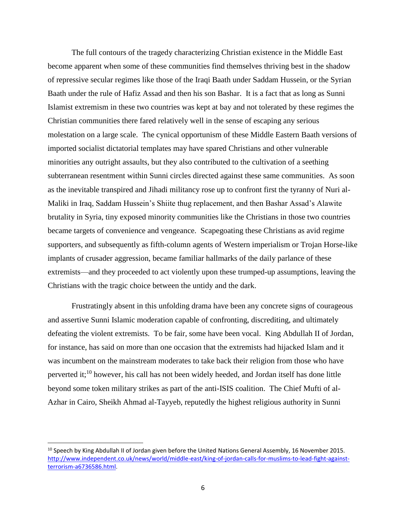The full contours of the tragedy characterizing Christian existence in the Middle East become apparent when some of these communities find themselves thriving best in the shadow of repressive secular regimes like those of the Iraqi Baath under Saddam Hussein, or the Syrian Baath under the rule of Hafiz Assad and then his son Bashar. It is a fact that as long as Sunni Islamist extremism in these two countries was kept at bay and not tolerated by these regimes the Christian communities there fared relatively well in the sense of escaping any serious molestation on a large scale. The cynical opportunism of these Middle Eastern Baath versions of imported socialist dictatorial templates may have spared Christians and other vulnerable minorities any outright assaults, but they also contributed to the cultivation of a seething subterranean resentment within Sunni circles directed against these same communities. As soon as the inevitable transpired and Jihadi militancy rose up to confront first the tyranny of Nuri al-Maliki in Iraq, Saddam Hussein's Shiite thug replacement, and then Bashar Assad's Alawite brutality in Syria, tiny exposed minority communities like the Christians in those two countries became targets of convenience and vengeance. Scapegoating these Christians as avid regime supporters, and subsequently as fifth-column agents of Western imperialism or Trojan Horse-like implants of crusader aggression, became familiar hallmarks of the daily parlance of these extremists—and they proceeded to act violently upon these trumped-up assumptions, leaving the Christians with the tragic choice between the untidy and the dark.

Frustratingly absent in this unfolding drama have been any concrete signs of courageous and assertive Sunni Islamic moderation capable of confronting, discrediting, and ultimately defeating the violent extremists. To be fair, some have been vocal. King Abdullah II of Jordan, for instance, has said on more than one occasion that the extremists had hijacked Islam and it was incumbent on the mainstream moderates to take back their religion from those who have perverted it;<sup>10</sup> however, his call has not been widely heeded, and Jordan itself has done little beyond some token military strikes as part of the anti-ISIS coalition. The Chief Mufti of al-Azhar in Cairo, Sheikh Ahmad al-Tayyeb, reputedly the highest religious authority in Sunni

 $10$  Speech by King Abdullah II of Jordan given before the United Nations General Assembly, 16 November 2015. [http://www.independent.co.uk/news/world/middle-east/king-of-jordan-calls-for-muslims-to-lead-fight-against](http://www.independent.co.uk/news/world/middle-east/king-of-jordan-calls-for-muslims-to-lead-fight-against-terrorism-a6736586.html)[terrorism-a6736586.html.](http://www.independent.co.uk/news/world/middle-east/king-of-jordan-calls-for-muslims-to-lead-fight-against-terrorism-a6736586.html)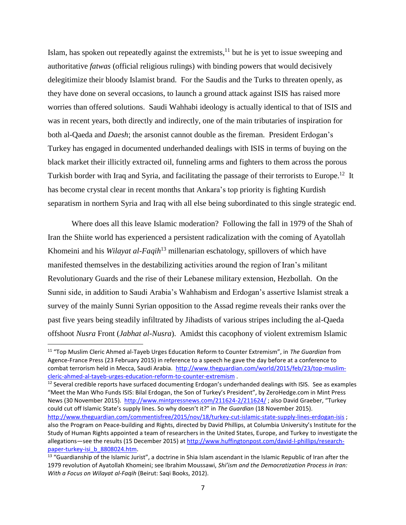Islam, has spoken out repeatedly against the extremists,<sup>11</sup> but he is yet to issue sweeping and authoritative *fatwas* (official religious rulings) with binding powers that would decisively delegitimize their bloody Islamist brand. For the Saudis and the Turks to threaten openly, as they have done on several occasions, to launch a ground attack against ISIS has raised more worries than offered solutions. Saudi Wahhabi ideology is actually identical to that of ISIS and was in recent years, both directly and indirectly, one of the main tributaries of inspiration for both al-Qaeda and *Daesh*; the arsonist cannot double as the fireman. President Erdogan's Turkey has engaged in documented underhanded dealings with ISIS in terms of buying on the black market their illicitly extracted oil, funneling arms and fighters to them across the porous Turkish border with Iraq and Syria, and facilitating the passage of their terrorists to Europe.<sup>12</sup> It has become crystal clear in recent months that Ankara's top priority is fighting Kurdish separatism in northern Syria and Iraq with all else being subordinated to this single strategic end.

Where does all this leave Islamic moderation? Following the fall in 1979 of the Shah of Iran the Shiite world has experienced a persistent radicalization with the coming of Ayatollah Khomeini and his *Wilayat al-Faqih*<sup>13</sup> millenarian eschatology, spillovers of which have manifested themselves in the destabilizing activities around the region of Iran's militant Revolutionary Guards and the rise of their Lebanese military extension, Hezbollah. On the Sunni side, in addition to Saudi Arabia's Wahhabism and Erdogan's assertive Islamist streak a survey of the mainly Sunni Syrian opposition to the Assad regime reveals their ranks over the past five years being steadily infiltrated by Jihadists of various stripes including the al-Qaeda offshoot *Nusra* Front (*Jabhat al-Nusra*). Amidst this cacophony of violent extremism Islamic

 $\overline{\phantom{a}}$ 

<sup>12</sup> Several credible reports have surfaced documenting Erdogan's underhanded dealings with ISIS. See as examples "Meet the Man Who Funds ISIS: Bilal Erdogan, the Son of Turkey's President", by ZeroHedge.com in Mint Press News (30 November 2015).<http://www.mintpressnews.com/211624-2/211624/> ; also David Graeber, "Turkey could cut off Islamic State's supply lines. So why doesn't it?" in *The Guardian* (18 November 2015).

<sup>11</sup> "Top Muslim Cleric Ahmed al-Tayeb Urges Education Reform to Counter Extremism", in *The Guardian* from Agence-France Press (23 February 2015) in reference to a speech he gave the day before at a conference to combat terrorism held in Mecca, Saudi Arabia. [http://www.theguardian.com/world/2015/feb/23/top-muslim](http://www.theguardian.com/world/2015/feb/23/top-muslim-cleric-ahmed-al-tayeb-urges-education-reform-to-counter-extremism)[cleric-ahmed-al-tayeb-urges-education-reform-to-counter-extremism](http://www.theguardian.com/world/2015/feb/23/top-muslim-cleric-ahmed-al-tayeb-urges-education-reform-to-counter-extremism) .

<http://www.theguardian.com/commentisfree/2015/nov/18/turkey-cut-islamic-state-supply-lines-erdogan-isis> ; also the Program on Peace-building and Rights, directed by David Phillips, at Columbia University's Institute for the Study of Human Rights appointed a team of researchers in the United States, Europe, and Turkey to investigate the allegations—see the results (15 December 2015) at [http://www.huffingtonpost.com/david-l-phillips/research](http://www.huffingtonpost.com/david-l-phillips/research-paper-turkey-isi_b_8808024.htm)[paper-turkey-isi\\_b\\_8808024.htm.](http://www.huffingtonpost.com/david-l-phillips/research-paper-turkey-isi_b_8808024.htm)

<sup>&</sup>lt;sup>13</sup> "Guardianship of the Islamic Jurist", a doctrine in Shia Islam ascendant in the Islamic Republic of Iran after the 1979 revolution of Ayatollah Khomeini; see Ibrahim Moussawi, *Shi'ism and the Democratization Process in Iran: With a Focus on Wilayat al-Faqih* (Beirut: Saqi Books, 2012).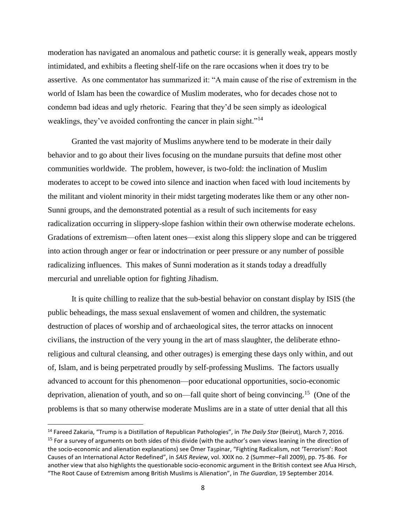moderation has navigated an anomalous and pathetic course: it is generally weak, appears mostly intimidated, and exhibits a fleeting shelf-life on the rare occasions when it does try to be assertive. As one commentator has summarized it: "A main cause of the rise of extremism in the world of Islam has been the cowardice of Muslim moderates, who for decades chose not to condemn bad ideas and ugly rhetoric. Fearing that they'd be seen simply as ideological weaklings, they've avoided confronting the cancer in plain sight."<sup>14</sup>

Granted the vast majority of Muslims anywhere tend to be moderate in their daily behavior and to go about their lives focusing on the mundane pursuits that define most other communities worldwide. The problem, however, is two-fold: the inclination of Muslim moderates to accept to be cowed into silence and inaction when faced with loud incitements by the militant and violent minority in their midst targeting moderates like them or any other non-Sunni groups, and the demonstrated potential as a result of such incitements for easy radicalization occurring in slippery-slope fashion within their own otherwise moderate echelons. Gradations of extremism—often latent ones—exist along this slippery slope and can be triggered into action through anger or fear or indoctrination or peer pressure or any number of possible radicalizing influences. This makes of Sunni moderation as it stands today a dreadfully mercurial and unreliable option for fighting Jihadism.

It is quite chilling to realize that the sub-bestial behavior on constant display by ISIS (the public beheadings, the mass sexual enslavement of women and children, the systematic destruction of places of worship and of archaeological sites, the terror attacks on innocent civilians, the instruction of the very young in the art of mass slaughter, the deliberate ethnoreligious and cultural cleansing, and other outrages) is emerging these days only within, and out of, Islam, and is being perpetrated proudly by self-professing Muslims. The factors usually advanced to account for this phenomenon—poor educational opportunities, socio-economic deprivation, alienation of youth, and so on—fall quite short of being convincing.<sup>15</sup> (One of the problems is that so many otherwise moderate Muslims are in a state of utter denial that all this

<sup>14</sup> Fareed Zakaria, "Trump is a Distillation of Republican Pathologies", in *The Daily Star* (Beirut), March 7, 2016. <sup>15</sup> For a survey of arguments on both sides of this divide (with the author's own views leaning in the direction of the socio-economic and alienation explanations) see Ömer Taşpinar, "Fighting Radicalism, not 'Terrorism': Root Causes of an International Actor Redefined", in *SAIS Review*, vol. XXIX no. 2 (Summer–Fall 2009), pp. 75-86. For another view that also highlights the questionable socio-economic argument in the British context see Afua Hirsch, "The Root Cause of Extremism among British Muslims is Alienation", in *The Guardian*, 19 September 2014.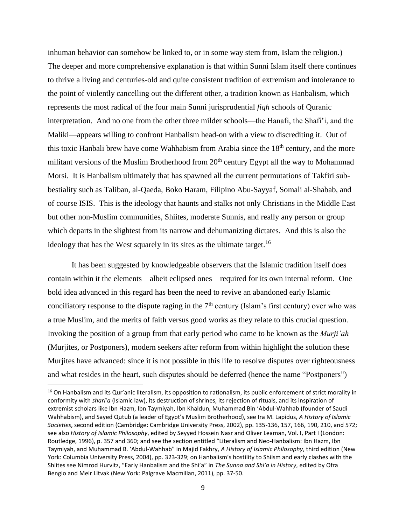inhuman behavior can somehow be linked to, or in some way stem from, Islam the religion.) The deeper and more comprehensive explanation is that within Sunni Islam itself there continues to thrive a living and centuries-old and quite consistent tradition of extremism and intolerance to the point of violently cancelling out the different other, a tradition known as Hanbalism, which represents the most radical of the four main Sunni jurisprudential *fiqh* schools of Quranic interpretation. And no one from the other three milder schools—the Hanafi, the Shafi'i, and the Maliki—appears willing to confront Hanbalism head-on with a view to discrediting it. Out of this toxic Hanbali brew have come Wahhabism from Arabia since the  $18<sup>th</sup>$  century, and the more militant versions of the Muslim Brotherhood from  $20<sup>th</sup>$  century Egypt all the way to Mohammad Morsi. It is Hanbalism ultimately that has spawned all the current permutations of Takfiri subbestiality such as Taliban, al-Qaeda, Boko Haram, Filipino Abu-Sayyaf, Somali al-Shabab, and of course ISIS. This is the ideology that haunts and stalks not only Christians in the Middle East but other non-Muslim communities, Shiites, moderate Sunnis, and really any person or group which departs in the slightest from its narrow and dehumanizing dictates. And this is also the ideology that has the West squarely in its sites as the ultimate target.<sup>16</sup>

It has been suggested by knowledgeable observers that the Islamic tradition itself does contain within it the elements—albeit eclipsed ones—required for its own internal reform. One bold idea advanced in this regard has been the need to revive an abandoned early Islamic conciliatory response to the dispute raging in the  $7<sup>th</sup>$  century (Islam's first century) over who was a true Muslim, and the merits of faith versus good works as they relate to this crucial question. Invoking the position of a group from that early period who came to be known as the *Murji'ah* (Murjites, or Postponers), modern seekers after reform from within highlight the solution these Murjites have advanced: since it is not possible in this life to resolve disputes over righteousness and what resides in the heart, such disputes should be deferred (hence the name "Postponers")

 $16$  On Hanbalism and its Qur'anic literalism, its opposition to rationalism, its public enforcement of strict morality in conformity with *shari'a* (Islamic law), its destruction of shrines, its rejection of rituals, and its inspiration of extremist scholars like Ibn Hazm, Ibn Taymiyah, Ibn Khaldun, Muhammad Bin 'Abdul-Wahhab (founder of Saudi Wahhabism), and Sayed Qutub (a leader of Egypt's Muslim Brotherhood), see Ira M. Lapidus, *A History of Islamic Societies*, second edition (Cambridge: Cambridge University Press, 2002), pp. 135-136, 157, 166, 190, 210, and 572; see also *History of Islamic Philosophy*, edited by Seyyed Hossein Nasr and Oliver Leaman, Vol. I, Part I (London: Routledge, 1996), p. 357 and 360; and see the section entitled "Literalism and Neo-Hanbalism: Ibn Hazm, Ibn Taymiyah, and Muhammad B. 'Abdul-Wahhab" in Majid Fakhry, *A History of Islamic Philosophy*, third edition (New York: Columbia University Press, 2004), pp. 323-329; on Hanbalism's hostility to Shiism and early clashes with the Shiites see Nimrod Hurvitz, "Early Hanbalism and the Shi'a" in *The Sunna and Shi'a in History*, edited by Ofra Bengio and Meir Litvak (New York: Palgrave Macmillan, 2011), pp. 37-50.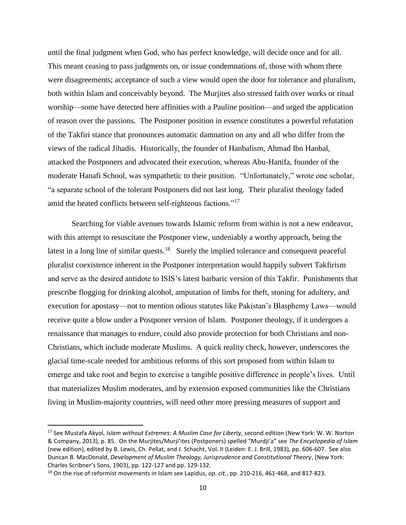until the final judgment when God, who has perfect knowledge, will decide once and for all. This meant ceasing to pass judgments on, or issue condemnations of, those with whom there were disagreements; acceptance of such a view would open the door for tolerance and pluralism, both within Islam and conceivably beyond. The Murjites also stressed faith over works or ritual worship—some have detected here affinities with a Pauline position—and urged the application of reason over the passions. The Postponer position in essence constitutes a powerful refutation of the Takfiri stance that pronounces automatic damnation on any and all who differ from the views of the radical Jihadis. Historically, the founder of Hanbalism, Ahmad Ibn Hanbal, attacked the Postponers and advocated their execution, whereas Abu-Hanifa, founder of the moderate Hanafi School, was sympathetic to their position. "Unfortunately," wrote one scholar, "a separate school of the tolerant Postponers did not last long. Their pluralist theology faded amid the heated conflicts between self-righteous factions."<sup>17</sup>

Searching for viable avenues towards Islamic reform from within is not a new endeavor, with this attempt to resuscitate the Postponer view, undeniably a worthy approach, being the latest in a long line of similar quests.<sup>18</sup> Surely the implied tolerance and consequent peaceful pluralist coexistence inherent in the Postponer interpretation would happily subvert Takfirism and serve as the desired antidote to ISIS's latest barbaric version of this Takfir. Punishments that prescribe flogging for drinking alcohol, amputation of limbs for theft, stoning for adultery, and execution for apostasy—not to mention odious statutes like Pakistan's Blasphemy Laws—would receive quite a blow under a Postponer version of Islam. Postponer theology, if it undergoes a renaissance that manages to endure, could also provide protection for both Christians and non-Christians, which include moderate Muslims. A quick reality check, however, underscores the glacial time-scale needed for ambitious reforms of this sort proposed from within Islam to emerge and take root and begin to exercise a tangible positive difference in people's lives. Until that materializes Muslim moderates, and by extension exposed communities like the Christians living in Muslim-majority countries, will need other more pressing measures of support and

<sup>17</sup> See Mustafa Akyol, *Islam without Extremes: A Muslim Case for Liberty*, second edition (New York: W. W. Norton & Company, 2013), p. 85. On the Murjites/Murji'ites (Postponers) spelled "Murdji'a" see *The Encyclopedia of Islam* (new edition), edited by B. Lewis, Ch. Pellat, and J. Schacht, Vol. II (Leiden: E. J. Brill, 1983), pp. 606-607. See also Duncan B. MacDonald, *Development of Muslim Theology, Jurisprudence and Constitutional Theory*, (New York: Charles Scribner's Sons, 1903), pp. 122-127 and pp. 129-132.

<sup>18</sup> On the rise of reformist movements in Islam see Lapidus, *op. cit.*, pp. 210-216, 461-468, and 817-823.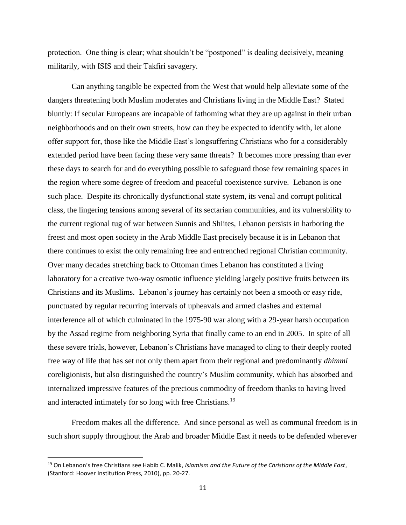protection. One thing is clear; what shouldn't be "postponed" is dealing decisively, meaning militarily, with ISIS and their Takfiri savagery.

Can anything tangible be expected from the West that would help alleviate some of the dangers threatening both Muslim moderates and Christians living in the Middle East? Stated bluntly: If secular Europeans are incapable of fathoming what they are up against in their urban neighborhoods and on their own streets, how can they be expected to identify with, let alone offer support for, those like the Middle East's longsuffering Christians who for a considerably extended period have been facing these very same threats? It becomes more pressing than ever these days to search for and do everything possible to safeguard those few remaining spaces in the region where some degree of freedom and peaceful coexistence survive. Lebanon is one such place. Despite its chronically dysfunctional state system, its venal and corrupt political class, the lingering tensions among several of its sectarian communities, and its vulnerability to the current regional tug of war between Sunnis and Shiites, Lebanon persists in harboring the freest and most open society in the Arab Middle East precisely because it is in Lebanon that there continues to exist the only remaining free and entrenched regional Christian community. Over many decades stretching back to Ottoman times Lebanon has constituted a living laboratory for a creative two-way osmotic influence yielding largely positive fruits between its Christians and its Muslims. Lebanon's journey has certainly not been a smooth or easy ride, punctuated by regular recurring intervals of upheavals and armed clashes and external interference all of which culminated in the 1975-90 war along with a 29-year harsh occupation by the Assad regime from neighboring Syria that finally came to an end in 2005. In spite of all these severe trials, however, Lebanon's Christians have managed to cling to their deeply rooted free way of life that has set not only them apart from their regional and predominantly *dhimmi* coreligionists, but also distinguished the country's Muslim community, which has absorbed and internalized impressive features of the precious commodity of freedom thanks to having lived and interacted intimately for so long with free Christians.<sup>19</sup>

Freedom makes all the difference. And since personal as well as communal freedom is in such short supply throughout the Arab and broader Middle East it needs to be defended wherever

<sup>19</sup> On Lebanon's free Christians see Habib C. Malik, *Islamism and the Future of the Christians of the Middle East*, (Stanford: Hoover Institution Press, 2010), pp. 20-27.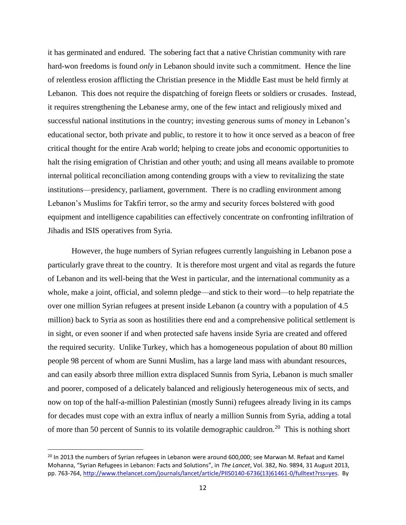it has germinated and endured. The sobering fact that a native Christian community with rare hard-won freedoms is found *only* in Lebanon should invite such a commitment. Hence the line of relentless erosion afflicting the Christian presence in the Middle East must be held firmly at Lebanon. This does not require the dispatching of foreign fleets or soldiers or crusades. Instead, it requires strengthening the Lebanese army, one of the few intact and religiously mixed and successful national institutions in the country; investing generous sums of money in Lebanon's educational sector, both private and public, to restore it to how it once served as a beacon of free critical thought for the entire Arab world; helping to create jobs and economic opportunities to halt the rising emigration of Christian and other youth; and using all means available to promote internal political reconciliation among contending groups with a view to revitalizing the state institutions—presidency, parliament, government. There is no cradling environment among Lebanon's Muslims for Takfiri terror, so the army and security forces bolstered with good equipment and intelligence capabilities can effectively concentrate on confronting infiltration of Jihadis and ISIS operatives from Syria.

However, the huge numbers of Syrian refugees currently languishing in Lebanon pose a particularly grave threat to the country. It is therefore most urgent and vital as regards the future of Lebanon and its well-being that the West in particular, and the international community as a whole, make a joint, official, and solemn pledge—and stick to their word—to help repatriate the over one million Syrian refugees at present inside Lebanon (a country with a population of 4.5 million) back to Syria as soon as hostilities there end and a comprehensive political settlement is in sight, or even sooner if and when protected safe havens inside Syria are created and offered the required security. Unlike Turkey, which has a homogeneous population of about 80 million people 98 percent of whom are Sunni Muslim, has a large land mass with abundant resources, and can easily absorb three million extra displaced Sunnis from Syria, Lebanon is much smaller and poorer, composed of a delicately balanced and religiously heterogeneous mix of sects, and now on top of the half-a-million Palestinian (mostly Sunni) refugees already living in its camps for decades must cope with an extra influx of nearly a million Sunnis from Syria, adding a total of more than 50 percent of Sunnis to its volatile demographic cauldron.<sup>20</sup> This is nothing short

<sup>&</sup>lt;sup>20</sup> In 2013 the numbers of Syrian refugees in Lebanon were around 600,000; see Marwan M. Refaat and Kamel Mohanna, "Syrian Refugees in Lebanon: Facts and Solutions", in *The Lancet*, Vol. 382, No. 9894, 31 August 2013, pp. 763-764, [http://www.thelancet.com/journals/lancet/article/PIIS0140-6736\(13\)61461-0/fulltext?rss=yes.](http://www.thelancet.com/journals/lancet/article/PIIS0140-6736(13)61461-0/fulltext?rss=yes) By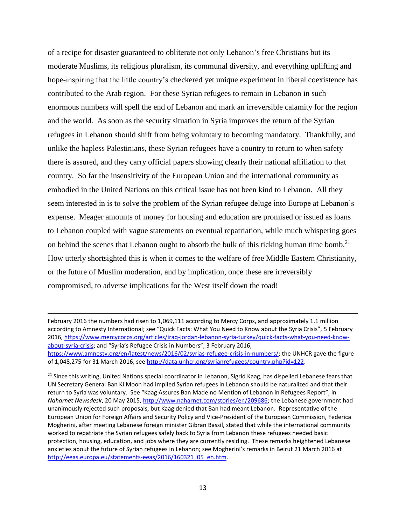of a recipe for disaster guaranteed to obliterate not only Lebanon's free Christians but its moderate Muslims, its religious pluralism, its communal diversity, and everything uplifting and hope-inspiring that the little country's checkered yet unique experiment in liberal coexistence has contributed to the Arab region. For these Syrian refugees to remain in Lebanon in such enormous numbers will spell the end of Lebanon and mark an irreversible calamity for the region and the world. As soon as the security situation in Syria improves the return of the Syrian refugees in Lebanon should shift from being voluntary to becoming mandatory. Thankfully, and unlike the hapless Palestinians, these Syrian refugees have a country to return to when safety there is assured, and they carry official papers showing clearly their national affiliation to that country. So far the insensitivity of the European Union and the international community as embodied in the United Nations on this critical issue has not been kind to Lebanon. All they seem interested in is to solve the problem of the Syrian refugee deluge into Europe at Lebanon's expense. Meager amounts of money for housing and education are promised or issued as loans to Lebanon coupled with vague statements on eventual repatriation, while much whispering goes on behind the scenes that Lebanon ought to absorb the bulk of this ticking human time bomb.<sup>21</sup> How utterly shortsighted this is when it comes to the welfare of free Middle Eastern Christianity, or the future of Muslim moderation, and by implication, once these are irreversibly compromised, to adverse implications for the West itself down the road!

l

<sup>21</sup> Since this writing, United Nations special coordinator in Lebanon, Sigrid Kaag, has dispelled Lebanese fears that UN Secretary General Ban Ki Moon had implied Syrian refugees in Lebanon should be naturalized and that their return to Syria was voluntary. See "Kaag Assures Ban Made no Mention of Lebanon in Refugees Report", in *Naharnet Newsdesk*, 20 May 2015, [http://www.naharnet.com/stories/en/209686;](http://www.naharnet.com/stories/en/209686) the Lebanese government had unanimously rejected such proposals, but Kaag denied that Ban had meant Lebanon. Representative of the European Union for Foreign Affairs and Security Policy and Vice-President of the European Commission, Federica Mogherini, after meeting Lebanese foreign minister Gibran Bassil, stated that while the international community worked to repatriate the Syrian refugees safely back to Syria from Lebanon these refugees needed basic protection, housing, education, and jobs where they are currently residing. These remarks heightened Lebanese anxieties about the future of Syrian refugees in Lebanon; see Mogherini's remarks in Beirut 21 March 2016 at [http://eeas.europa.eu/statements-eeas/2016/160321\\_05\\_en.htm.](http://eeas.europa.eu/statements-eeas/2016/160321_05_en.htm)

February 2016 the numbers had risen to 1,069,111 according to Mercy Corps, and approximately 1.1 million according to Amnesty International; see "Quick Facts: What You Need to Know about the Syria Crisis", 5 February 2016, [https://www.mercycorps.org/articles/iraq-jordan-lebanon-syria-turkey/quick-facts-what-you-need-know](https://www.mercycorps.org/articles/iraq-jordan-lebanon-syria-turkey/quick-facts-what-you-need-know-about-syria-crisis)[about-syria-crisis](https://www.mercycorps.org/articles/iraq-jordan-lebanon-syria-turkey/quick-facts-what-you-need-know-about-syria-crisis); and "Syria's Refugee Crisis in Numbers", 3 February 2016, [https://www.amnesty.org/en/latest/news/2016/02/syrias-refugee-crisis-in-numbers/;](https://www.amnesty.org/en/latest/news/2016/02/syrias-refugee-crisis-in-numbers/) the UNHCR gave the figure of 1,048,275 for 31 March 2016, se[e http://data.unhcr.org/syrianrefugees/country.php?id=122.](http://data.unhcr.org/syrianrefugees/country.php?id=122)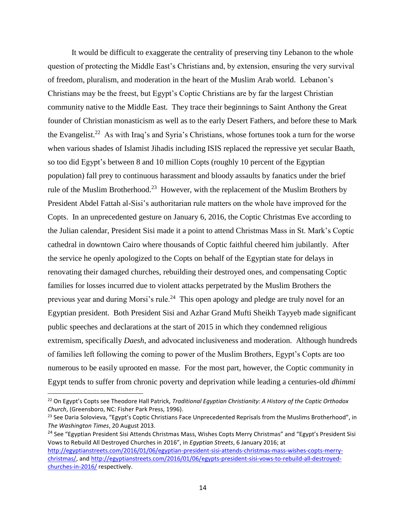It would be difficult to exaggerate the centrality of preserving tiny Lebanon to the whole question of protecting the Middle East's Christians and, by extension, ensuring the very survival of freedom, pluralism, and moderation in the heart of the Muslim Arab world. Lebanon's Christians may be the freest, but Egypt's Coptic Christians are by far the largest Christian community native to the Middle East. They trace their beginnings to Saint Anthony the Great founder of Christian monasticism as well as to the early Desert Fathers, and before these to Mark the Evangelist.<sup>22</sup> As with Iraq's and Syria's Christians, whose fortunes took a turn for the worse when various shades of Islamist Jihadis including ISIS replaced the repressive yet secular Baath, so too did Egypt's between 8 and 10 million Copts (roughly 10 percent of the Egyptian population) fall prey to continuous harassment and bloody assaults by fanatics under the brief rule of the Muslim Brotherhood.<sup>23</sup> However, with the replacement of the Muslim Brothers by President Abdel Fattah al-Sisi's authoritarian rule matters on the whole have improved for the Copts. In an unprecedented gesture on January 6, 2016, the Coptic Christmas Eve according to the Julian calendar, President Sisi made it a point to attend Christmas Mass in St. Mark's Coptic cathedral in downtown Cairo where thousands of Coptic faithful cheered him jubilantly. After the service he openly apologized to the Copts on behalf of the Egyptian state for delays in renovating their damaged churches, rebuilding their destroyed ones, and compensating Coptic families for losses incurred due to violent attacks perpetrated by the Muslim Brothers the previous year and during Morsi's rule.<sup>24</sup> This open apology and pledge are truly novel for an Egyptian president. Both President Sisi and Azhar Grand Mufti Sheikh Tayyeb made significant public speeches and declarations at the start of 2015 in which they condemned religious extremism, specifically *Daesh*, and advocated inclusiveness and moderation. Although hundreds of families left following the coming to power of the Muslim Brothers, Egypt's Copts are too numerous to be easily uprooted en masse. For the most part, however, the Coptic community in Egypt tends to suffer from chronic poverty and deprivation while leading a centuries-old *dhimmi*

 $\overline{\phantom{a}}$ 

<sup>24</sup> See "Egyptian President Sisi Attends Christmas Mass, Wishes Copts Merry Christmas" and "Egypt's President Sisi Vows to Rebuild All Destroyed Churches in 2016", in *Egyptian Streets*, 6 January 2016; at [http://egyptianstreets.com/2016/01/06/egyptian-president-sisi-attends-christmas-mass-wishes-copts-merry](http://egyptianstreets.com/2016/01/06/egyptian-president-sisi-attends-christmas-mass-wishes-copts-merry-christmas/)[christmas/,](http://egyptianstreets.com/2016/01/06/egyptian-president-sisi-attends-christmas-mass-wishes-copts-merry-christmas/) an[d http://egyptianstreets.com/2016/01/06/egypts-president-sisi-vows-to-rebuild-all-destroyed](http://egyptianstreets.com/2016/01/06/egypts-president-sisi-vows-to-rebuild-all-destroyed-churches-in-2016/)[churches-in-2016/](http://egyptianstreets.com/2016/01/06/egypts-president-sisi-vows-to-rebuild-all-destroyed-churches-in-2016/) respectively.

<sup>22</sup> On Egypt's Copts see Theodore Hall Patrick, *Traditional Egyptian Christianity: A History of the Coptic Orthodox Church*, (Greensboro, NC: Fisher Park Press, 1996).

<sup>&</sup>lt;sup>23</sup> See Daria Solovieva, "Egypt's Coptic Christians Face Unprecedented Reprisals from the Muslims Brotherhood", in *The Washington Times*, 20 August 2013.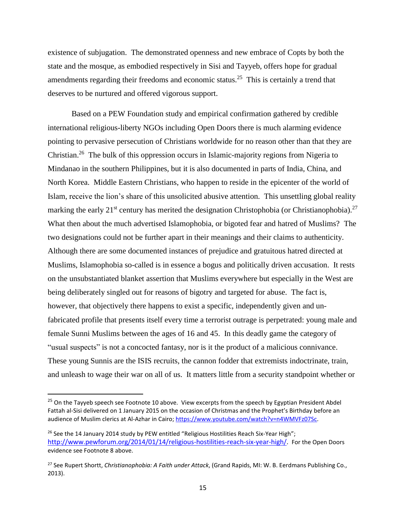existence of subjugation. The demonstrated openness and new embrace of Copts by both the state and the mosque, as embodied respectively in Sisi and Tayyeb, offers hope for gradual amendments regarding their freedoms and economic status.<sup>25</sup> This is certainly a trend that deserves to be nurtured and offered vigorous support.

Based on a PEW Foundation study and empirical confirmation gathered by credible international religious-liberty NGOs including Open Doors there is much alarming evidence pointing to pervasive persecution of Christians worldwide for no reason other than that they are Christian.<sup>26</sup> The bulk of this oppression occurs in Islamic-majority regions from Nigeria to Mindanao in the southern Philippines, but it is also documented in parts of India, China, and North Korea. Middle Eastern Christians, who happen to reside in the epicenter of the world of Islam, receive the lion's share of this unsolicited abusive attention. This unsettling global reality marking the early  $21^{st}$  century has merited the designation Christophobia (or Christianophobia).<sup>27</sup> What then about the much advertised Islamophobia, or bigoted fear and hatred of Muslims? The two designations could not be further apart in their meanings and their claims to authenticity. Although there are some documented instances of prejudice and gratuitous hatred directed at Muslims, Islamophobia so-called is in essence a bogus and politically driven accusation. It rests on the unsubstantiated blanket assertion that Muslims everywhere but especially in the West are being deliberately singled out for reasons of bigotry and targeted for abuse. The fact is, however, that objectively there happens to exist a specific, independently given and unfabricated profile that presents itself every time a terrorist outrage is perpetrated: young male and female Sunni Muslims between the ages of 16 and 45. In this deadly game the category of "usual suspects" is not a concocted fantasy, nor is it the product of a malicious connivance. These young Sunnis are the ISIS recruits, the cannon fodder that extremists indoctrinate, train, and unleash to wage their war on all of us. It matters little from a security standpoint whether or

<sup>&</sup>lt;sup>25</sup> On the Tayyeb speech see Footnote 10 above. View excerpts from the speech by Egyptian President Abdel Fattah al-Sisi delivered on 1 January 2015 on the occasion of Christmas and the Prophet's Birthday before an audience of Muslim clerics at Al-Azhar in Cairo; [https://www.youtube.com/watch?v=n4WMVFz07Sc.](https://www.youtube.com/watch?v=n4WMVFz07Sc)

<sup>&</sup>lt;sup>26</sup> See the 14 January 2014 study by PEW entitled "Religious Hostilities Reach Six-Year High"; [http://www.pewforum.org/2014/01/14/religious-hostilities-reach-six-year-high/.](http://www.pewforum.org/2014/01/14/religious-hostilities-reach-six-year-high/) For the Open Doors evidence see Footnote 8 above.

<sup>27</sup> See Rupert Shortt, *Christianophobia: A Faith under Attack*, (Grand Rapids, MI: W. B. Eerdmans Publishing Co., 2013).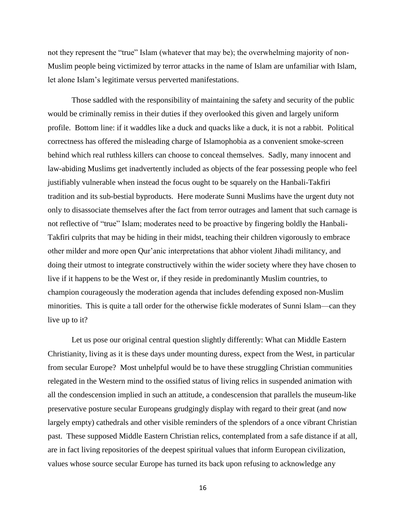not they represent the "true" Islam (whatever that may be); the overwhelming majority of non-Muslim people being victimized by terror attacks in the name of Islam are unfamiliar with Islam, let alone Islam's legitimate versus perverted manifestations.

Those saddled with the responsibility of maintaining the safety and security of the public would be criminally remiss in their duties if they overlooked this given and largely uniform profile. Bottom line: if it waddles like a duck and quacks like a duck, it is not a rabbit. Political correctness has offered the misleading charge of Islamophobia as a convenient smoke-screen behind which real ruthless killers can choose to conceal themselves. Sadly, many innocent and law-abiding Muslims get inadvertently included as objects of the fear possessing people who feel justifiably vulnerable when instead the focus ought to be squarely on the Hanbali-Takfiri tradition and its sub-bestial byproducts. Here moderate Sunni Muslims have the urgent duty not only to disassociate themselves after the fact from terror outrages and lament that such carnage is not reflective of "true" Islam; moderates need to be proactive by fingering boldly the Hanbali-Takfiri culprits that may be hiding in their midst, teaching their children vigorously to embrace other milder and more open Qur'anic interpretations that abhor violent Jihadi militancy, and doing their utmost to integrate constructively within the wider society where they have chosen to live if it happens to be the West or, if they reside in predominantly Muslim countries, to champion courageously the moderation agenda that includes defending exposed non-Muslim minorities. This is quite a tall order for the otherwise fickle moderates of Sunni Islam—can they live up to it?

Let us pose our original central question slightly differently: What can Middle Eastern Christianity, living as it is these days under mounting duress, expect from the West, in particular from secular Europe? Most unhelpful would be to have these struggling Christian communities relegated in the Western mind to the ossified status of living relics in suspended animation with all the condescension implied in such an attitude, a condescension that parallels the museum-like preservative posture secular Europeans grudgingly display with regard to their great (and now largely empty) cathedrals and other visible reminders of the splendors of a once vibrant Christian past. These supposed Middle Eastern Christian relics, contemplated from a safe distance if at all, are in fact living repositories of the deepest spiritual values that inform European civilization, values whose source secular Europe has turned its back upon refusing to acknowledge any

16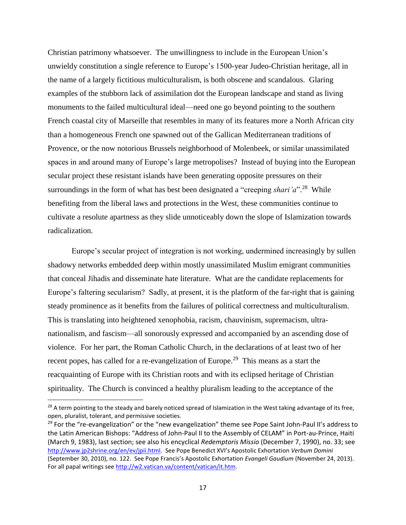Christian patrimony whatsoever. The unwillingness to include in the European Union's unwieldy constitution a single reference to Europe's 1500-year Judeo-Christian heritage, all in the name of a largely fictitious multiculturalism, is both obscene and scandalous. Glaring examples of the stubborn lack of assimilation dot the European landscape and stand as living monuments to the failed multicultural ideal—need one go beyond pointing to the southern French coastal city of Marseille that resembles in many of its features more a North African city than a homogeneous French one spawned out of the Gallican Mediterranean traditions of Provence, or the now notorious Brussels neighborhood of Molenbeek, or similar unassimilated spaces in and around many of Europe's large metropolises? Instead of buying into the European secular project these resistant islands have been generating opposite pressures on their surroundings in the form of what has best been designated a "creeping *shari'a*".<sup>28</sup> While benefiting from the liberal laws and protections in the West, these communities continue to cultivate a resolute apartness as they slide unnoticeably down the slope of Islamization towards radicalization.

Europe's secular project of integration is not working, undermined increasingly by sullen shadowy networks embedded deep within mostly unassimilated Muslim emigrant communities that conceal Jihadis and disseminate hate literature. What are the candidate replacements for Europe's faltering secularism? Sadly, at present, it is the platform of the far-right that is gaining steady prominence as it benefits from the failures of political correctness and multiculturalism. This is translating into heightened xenophobia, racism, chauvinism, supremacism, ultranationalism, and fascism—all sonorously expressed and accompanied by an ascending dose of violence. For her part, the Roman Catholic Church, in the declarations of at least two of her recent popes, has called for a re-evangelization of Europe.<sup>29</sup> This means as a start the reacquainting of Europe with its Christian roots and with its eclipsed heritage of Christian spirituality. The Church is convinced a healthy pluralism leading to the acceptance of the

 $^{28}$  A term pointing to the steady and barely noticed spread of Islamization in the West taking advantage of its free, open, pluralist, tolerant, and permissive societies.

 $29$  For the "re-evangelization" or the "new evangelization" theme see Pope Saint John-Paul II's address to the Latin American Bishops: "Address of John-Paul II to the Assembly of CELAM" in Port-au-Prince, Haiti (March 9, 1983), last section; see also his encyclical *Redemptoris Missio* (December 7, 1990), no. 33; see <http://www.jp2shrine.org/en/ev/jpii.html>. See Pope Benedict XVI's Apostolic Exhortation *Verbum Domini* (September 30, 2010), no. 122. See Pope Francis's Apostolic Exhortation *Evangeli Gaudium* (November 24, 2013). For all papal writings se[e http://w2.vatican.va/content/vatican/it.htm.](http://w2.vatican.va/content/vatican/it.htm)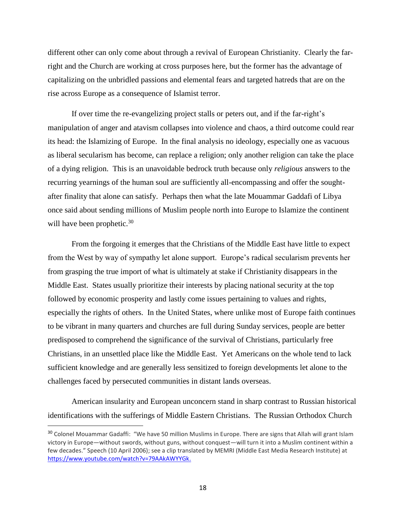different other can only come about through a revival of European Christianity. Clearly the farright and the Church are working at cross purposes here, but the former has the advantage of capitalizing on the unbridled passions and elemental fears and targeted hatreds that are on the rise across Europe as a consequence of Islamist terror.

If over time the re-evangelizing project stalls or peters out, and if the far-right's manipulation of anger and atavism collapses into violence and chaos, a third outcome could rear its head: the Islamizing of Europe. In the final analysis no ideology, especially one as vacuous as liberal secularism has become, can replace a religion; only another religion can take the place of a dying religion. This is an unavoidable bedrock truth because only *religious* answers to the recurring yearnings of the human soul are sufficiently all-encompassing and offer the soughtafter finality that alone can satisfy. Perhaps then what the late Mouammar Gaddafi of Libya once said about sending millions of Muslim people north into Europe to Islamize the continent will have been prophetic. $30<sup>30</sup>$ 

From the forgoing it emerges that the Christians of the Middle East have little to expect from the West by way of sympathy let alone support. Europe's radical secularism prevents her from grasping the true import of what is ultimately at stake if Christianity disappears in the Middle East. States usually prioritize their interests by placing national security at the top followed by economic prosperity and lastly come issues pertaining to values and rights, especially the rights of others. In the United States, where unlike most of Europe faith continues to be vibrant in many quarters and churches are full during Sunday services, people are better predisposed to comprehend the significance of the survival of Christians, particularly free Christians, in an unsettled place like the Middle East. Yet Americans on the whole tend to lack sufficient knowledge and are generally less sensitized to foreign developments let alone to the challenges faced by persecuted communities in distant lands overseas.

American insularity and European unconcern stand in sharp contrast to Russian historical identifications with the sufferings of Middle Eastern Christians. The Russian Orthodox Church

<sup>&</sup>lt;sup>30</sup> Colonel Mouammar Gadaffi: "We have 50 million Muslims in Europe. There are signs that Allah will grant Islam victory in Europe—without swords, without guns, without conquest—will turn it into a Muslim continent within a few decades." Speech (10 April 2006); see a clip translated by MEMRI (Middle East Media Research Institute) at [https://www.youtube.com/watch?v=79AAkAWYYGk.](https://www.youtube.com/watch?v=79AAkAWYYGk)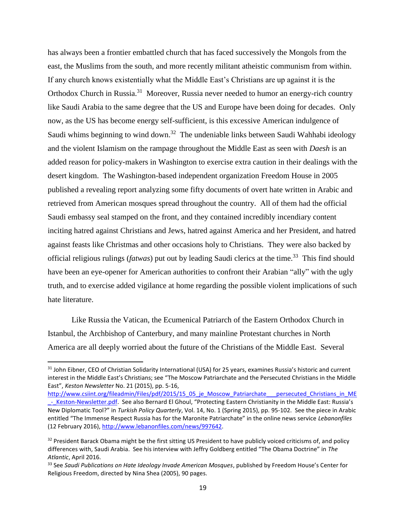has always been a frontier embattled church that has faced successively the Mongols from the east, the Muslims from the south, and more recently militant atheistic communism from within. If any church knows existentially what the Middle East's Christians are up against it is the Orthodox Church in Russia.<sup>31</sup> Moreover, Russia never needed to humor an energy-rich country like Saudi Arabia to the same degree that the US and Europe have been doing for decades. Only now, as the US has become energy self-sufficient, is this excessive American indulgence of Saudi whims beginning to wind down.<sup>32</sup> The undeniable links between Saudi Wahhabi ideology and the violent Islamism on the rampage throughout the Middle East as seen with *Daesh* is an added reason for policy-makers in Washington to exercise extra caution in their dealings with the desert kingdom. The Washington-based independent organization Freedom House in 2005 published a revealing report analyzing some fifty documents of overt hate written in Arabic and retrieved from American mosques spread throughout the country. All of them had the official Saudi embassy seal stamped on the front, and they contained incredibly incendiary content inciting hatred against Christians and Jews, hatred against America and her President, and hatred against feasts like Christmas and other occasions holy to Christians. They were also backed by official religious rulings (*fatwas*) put out by leading Saudi clerics at the time.<sup>33</sup> This find should have been an eye-opener for American authorities to confront their Arabian "ally" with the ugly truth, and to exercise added vigilance at home regarding the possible violent implications of such hate literature.

Like Russia the Vatican, the Ecumenical Patriarch of the Eastern Orthodox Church in Istanbul, the Archbishop of Canterbury, and many mainline Protestant churches in North America are all deeply worried about the future of the Christians of the Middle East. Several

<sup>&</sup>lt;sup>31</sup> John Eibner, CEO of Christian Solidarity International (USA) for 25 years, examines Russia's historic and current interest in the Middle East's Christians; see "The Moscow Patriarchate and the Persecuted Christians in the Middle East", *Keston Newsletter* No. 21 (2015), pp. 5-16,

[http://www.csiint.org/fileadmin/Files/pdf/2015/15\\_05\\_je\\_Moscow\\_Patriarchate\\_\\_\\_persecuted\\_Christians\\_in\\_ME](http://www.csiint.org/fileadmin/Files/pdf/2015/15_05_je_Moscow_Patriarchate___persecuted_Christians_in_ME_-_Keston-Newsletter.pdf) - Keston-Newsletter.pdf. See also Bernard El Ghoul, "Protecting Eastern Christianity in the Middle East: Russia's New Diplomatic Tool?" in *Turkish Policy Quarterly*, Vol. 14, No. 1 (Spring 2015), pp. 95-102. See the piece in Arabic entitled "The Immense Respect Russia has for the Maronite Patriarchate" in the online news service *Lebanonfiles* (12 February 2016), [http://www.lebanonfiles.com/news/997642.](http://www.lebanonfiles.com/news/997642)

<sup>&</sup>lt;sup>32</sup> President Barack Obama might be the first sitting US President to have publicly voiced criticisms of, and policy differences with, Saudi Arabia. See his interview with Jeffry Goldberg entitled "The Obama Doctrine" in *The Atlantic*, April 2016.

<sup>33</sup> See *Saudi Publications on Hate Ideology Invade American Mosques*, published by Freedom House's Center for Religious Freedom, directed by Nina Shea (2005), 90 pages.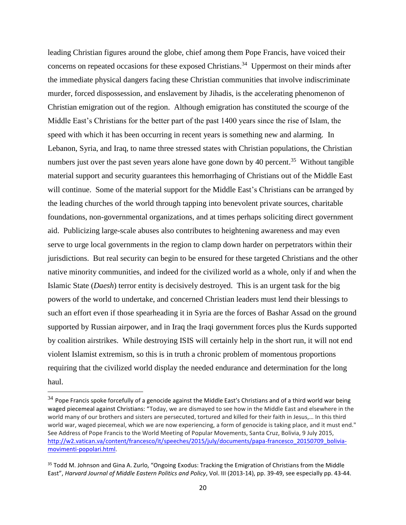leading Christian figures around the globe, chief among them Pope Francis, have voiced their concerns on repeated occasions for these exposed Christians.<sup>34</sup> Uppermost on their minds after the immediate physical dangers facing these Christian communities that involve indiscriminate murder, forced dispossession, and enslavement by Jihadis, is the accelerating phenomenon of Christian emigration out of the region. Although emigration has constituted the scourge of the Middle East's Christians for the better part of the past 1400 years since the rise of Islam, the speed with which it has been occurring in recent years is something new and alarming. In Lebanon, Syria, and Iraq, to name three stressed states with Christian populations, the Christian numbers just over the past seven years alone have gone down by 40 percent.<sup>35</sup> Without tangible material support and security guarantees this hemorrhaging of Christians out of the Middle East will continue. Some of the material support for the Middle East's Christians can be arranged by the leading churches of the world through tapping into benevolent private sources, charitable foundations, non-governmental organizations, and at times perhaps soliciting direct government aid. Publicizing large-scale abuses also contributes to heightening awareness and may even serve to urge local governments in the region to clamp down harder on perpetrators within their jurisdictions. But real security can begin to be ensured for these targeted Christians and the other native minority communities, and indeed for the civilized world as a whole, only if and when the Islamic State (*Daesh*) terror entity is decisively destroyed. This is an urgent task for the big powers of the world to undertake, and concerned Christian leaders must lend their blessings to such an effort even if those spearheading it in Syria are the forces of Bashar Assad on the ground supported by Russian airpower, and in Iraq the Iraqi government forces plus the Kurds supported by coalition airstrikes. While destroying ISIS will certainly help in the short run, it will not end violent Islamist extremism, so this is in truth a chronic problem of momentous proportions requiring that the civilized world display the needed endurance and determination for the long haul.

 $34$  Pope Francis spoke forcefully of a genocide against the Middle East's Christians and of a third world war being waged piecemeal against Christians: "Today, we are dismayed to see how in the Middle East and elsewhere in the world many of our brothers and sisters are persecuted, tortured and killed for their faith in Jesus,… In this third world war, waged piecemeal, which we are now experiencing, a form of genocide is taking place, and it must end." See Address of Pope Francis to the World Meeting of Popular Movements, Santa Cruz, Bolivia, 9 July 2015, [http://w2.vatican.va/content/francesco/it/speeches/2015/july/documents/papa-francesco\\_20150709\\_bolivia](http://w2.vatican.va/content/francesco/it/speeches/2015/july/documents/papa-francesco_20150709_bolivia-movimenti-popolari.html)[movimenti-popolari.html.](http://w2.vatican.va/content/francesco/it/speeches/2015/july/documents/papa-francesco_20150709_bolivia-movimenti-popolari.html)

<sup>&</sup>lt;sup>35</sup> Todd M. Johnson and Gina A. Zurlo, "Ongoing Exodus: Tracking the Emigration of Christians from the Middle East", *Harvard Journal of Middle Eastern Politics and Policy*, Vol. III (2013-14), pp. 39-49, see especially pp. 43-44.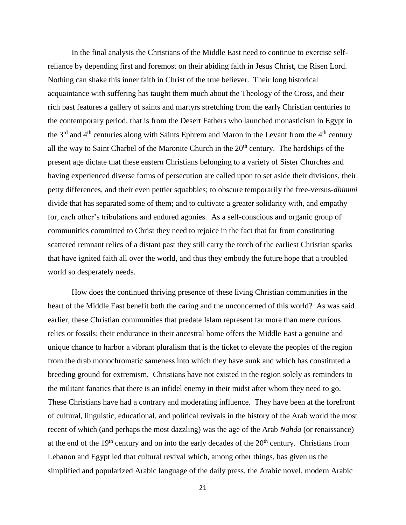In the final analysis the Christians of the Middle East need to continue to exercise selfreliance by depending first and foremost on their abiding faith in Jesus Christ, the Risen Lord. Nothing can shake this inner faith in Christ of the true believer. Their long historical acquaintance with suffering has taught them much about the Theology of the Cross, and their rich past features a gallery of saints and martyrs stretching from the early Christian centuries to the contemporary period, that is from the Desert Fathers who launched monasticism in Egypt in the  $3<sup>rd</sup>$  and  $4<sup>th</sup>$  centuries along with Saints Ephrem and Maron in the Levant from the  $4<sup>th</sup>$  century all the way to Saint Charbel of the Maronite Church in the  $20<sup>th</sup>$  century. The hardships of the present age dictate that these eastern Christians belonging to a variety of Sister Churches and having experienced diverse forms of persecution are called upon to set aside their divisions, their petty differences, and their even pettier squabbles; to obscure temporarily the free-versus-*dhimmi* divide that has separated some of them; and to cultivate a greater solidarity with, and empathy for, each other's tribulations and endured agonies. As a self-conscious and organic group of communities committed to Christ they need to rejoice in the fact that far from constituting scattered remnant relics of a distant past they still carry the torch of the earliest Christian sparks that have ignited faith all over the world, and thus they embody the future hope that a troubled world so desperately needs.

How does the continued thriving presence of these living Christian communities in the heart of the Middle East benefit both the caring and the unconcerned of this world? As was said earlier, these Christian communities that predate Islam represent far more than mere curious relics or fossils; their endurance in their ancestral home offers the Middle East a genuine and unique chance to harbor a vibrant pluralism that is the ticket to elevate the peoples of the region from the drab monochromatic sameness into which they have sunk and which has constituted a breeding ground for extremism. Christians have not existed in the region solely as reminders to the militant fanatics that there is an infidel enemy in their midst after whom they need to go. These Christians have had a contrary and moderating influence. They have been at the forefront of cultural, linguistic, educational, and political revivals in the history of the Arab world the most recent of which (and perhaps the most dazzling) was the age of the Arab *Nahda* (or renaissance) at the end of the  $19<sup>th</sup>$  century and on into the early decades of the  $20<sup>th</sup>$  century. Christians from Lebanon and Egypt led that cultural revival which, among other things, has given us the simplified and popularized Arabic language of the daily press, the Arabic novel, modern Arabic

21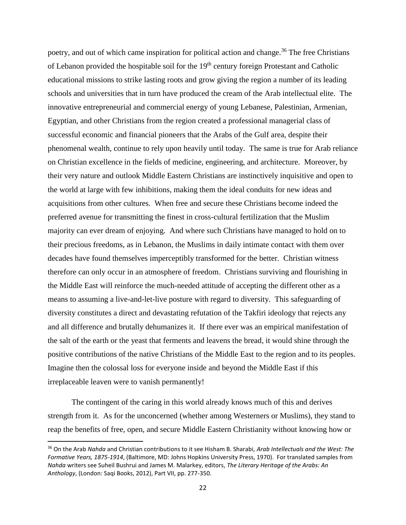poetry, and out of which came inspiration for political action and change.<sup>36</sup> The free Christians of Lebanon provided the hospitable soil for the 19<sup>th</sup> century foreign Protestant and Catholic educational missions to strike lasting roots and grow giving the region a number of its leading schools and universities that in turn have produced the cream of the Arab intellectual elite. The innovative entrepreneurial and commercial energy of young Lebanese, Palestinian, Armenian, Egyptian, and other Christians from the region created a professional managerial class of successful economic and financial pioneers that the Arabs of the Gulf area, despite their phenomenal wealth, continue to rely upon heavily until today. The same is true for Arab reliance on Christian excellence in the fields of medicine, engineering, and architecture. Moreover, by their very nature and outlook Middle Eastern Christians are instinctively inquisitive and open to the world at large with few inhibitions, making them the ideal conduits for new ideas and acquisitions from other cultures. When free and secure these Christians become indeed the preferred avenue for transmitting the finest in cross-cultural fertilization that the Muslim majority can ever dream of enjoying. And where such Christians have managed to hold on to their precious freedoms, as in Lebanon, the Muslims in daily intimate contact with them over decades have found themselves imperceptibly transformed for the better. Christian witness therefore can only occur in an atmosphere of freedom. Christians surviving and flourishing in the Middle East will reinforce the much-needed attitude of accepting the different other as a means to assuming a live-and-let-live posture with regard to diversity. This safeguarding of diversity constitutes a direct and devastating refutation of the Takfiri ideology that rejects any and all difference and brutally dehumanizes it. If there ever was an empirical manifestation of the salt of the earth or the yeast that ferments and leavens the bread, it would shine through the positive contributions of the native Christians of the Middle East to the region and to its peoples. Imagine then the colossal loss for everyone inside and beyond the Middle East if this irreplaceable leaven were to vanish permanently!

The contingent of the caring in this world already knows much of this and derives strength from it. As for the unconcerned (whether among Westerners or Muslims), they stand to reap the benefits of free, open, and secure Middle Eastern Christianity without knowing how or

<sup>36</sup> On the Arab *Nahda* and Christian contributions to it see Hisham B. Sharabi, *Arab Intellectuals and the West: The Formative Years, 1875-1914*, (Baltimore, MD: Johns Hopkins University Press, 1970). For translated samples from *Nahda* writers see Suheil Bushrui and James M. Malarkey, editors, *The Literary Heritage of the Arabs: An Anthology*, (London: Saqi Books, 2012), Part VII, pp. 277-350.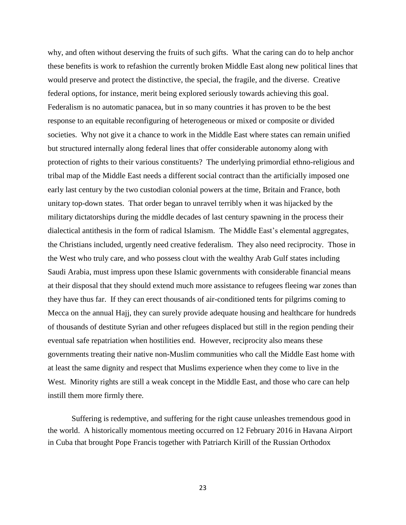why, and often without deserving the fruits of such gifts. What the caring can do to help anchor these benefits is work to refashion the currently broken Middle East along new political lines that would preserve and protect the distinctive, the special, the fragile, and the diverse. Creative federal options, for instance, merit being explored seriously towards achieving this goal. Federalism is no automatic panacea, but in so many countries it has proven to be the best response to an equitable reconfiguring of heterogeneous or mixed or composite or divided societies. Why not give it a chance to work in the Middle East where states can remain unified but structured internally along federal lines that offer considerable autonomy along with protection of rights to their various constituents? The underlying primordial ethno-religious and tribal map of the Middle East needs a different social contract than the artificially imposed one early last century by the two custodian colonial powers at the time, Britain and France, both unitary top-down states. That order began to unravel terribly when it was hijacked by the military dictatorships during the middle decades of last century spawning in the process their dialectical antithesis in the form of radical Islamism. The Middle East's elemental aggregates, the Christians included, urgently need creative federalism. They also need reciprocity. Those in the West who truly care, and who possess clout with the wealthy Arab Gulf states including Saudi Arabia, must impress upon these Islamic governments with considerable financial means at their disposal that they should extend much more assistance to refugees fleeing war zones than they have thus far. If they can erect thousands of air-conditioned tents for pilgrims coming to Mecca on the annual Hajj, they can surely provide adequate housing and healthcare for hundreds of thousands of destitute Syrian and other refugees displaced but still in the region pending their eventual safe repatriation when hostilities end. However, reciprocity also means these governments treating their native non-Muslim communities who call the Middle East home with at least the same dignity and respect that Muslims experience when they come to live in the West. Minority rights are still a weak concept in the Middle East, and those who care can help instill them more firmly there.

Suffering is redemptive, and suffering for the right cause unleashes tremendous good in the world. A historically momentous meeting occurred on 12 February 2016 in Havana Airport in Cuba that brought Pope Francis together with Patriarch Kirill of the Russian Orthodox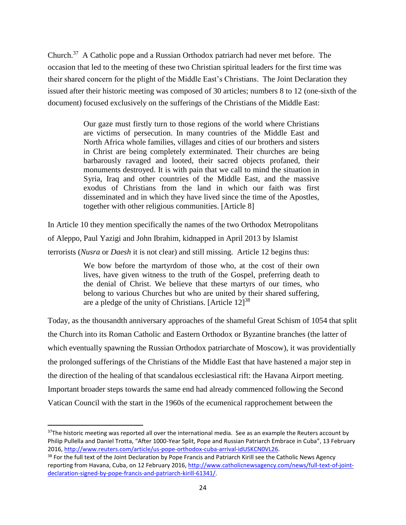Church.<sup>37</sup> A Catholic pope and a Russian Orthodox patriarch had never met before. The occasion that led to the meeting of these two Christian spiritual leaders for the first time was their shared concern for the plight of the Middle East's Christians. The Joint Declaration they issued after their historic meeting was composed of 30 articles; numbers 8 to 12 (one-sixth of the document) focused exclusively on the sufferings of the Christians of the Middle East:

> Our gaze must firstly turn to those regions of the world where Christians are victims of persecution. In many countries of the Middle East and North Africa whole families, villages and cities of our brothers and sisters in Christ are being completely exterminated. Their churches are being barbarously ravaged and looted, their sacred objects profaned, their monuments destroyed. It is with pain that we call to mind the situation in Syria, Iraq and other countries of the Middle East, and the massive exodus of Christians from the land in which our faith was first disseminated and in which they have lived since the time of the Apostles, together with other religious communities. [Article 8]

In Article 10 they mention specifically the names of the two Orthodox Metropolitans of Aleppo, Paul Yazigi and John Ibrahim, kidnapped in April 2013 by Islamist terrorists (*Nusra* or *Daesh* it is not clear) and still missing. Article 12 begins thus:

> We bow before the martyrdom of those who, at the cost of their own lives, have given witness to the truth of the Gospel, preferring death to the denial of Christ. We believe that these martyrs of our times, who belong to various Churches but who are united by their shared suffering, are a pledge of the unity of Christians. [Article  $12$ ]<sup>38</sup>

Today, as the thousandth anniversary approaches of the shameful Great Schism of 1054 that split the Church into its Roman Catholic and Eastern Orthodox or Byzantine branches (the latter of which eventually spawning the Russian Orthodox patriarchate of Moscow), it was providentially the prolonged sufferings of the Christians of the Middle East that have hastened a major step in the direction of the healing of that scandalous ecclesiastical rift: the Havana Airport meeting. Important broader steps towards the same end had already commenced following the Second Vatican Council with the start in the 1960s of the ecumenical rapprochement between the

<sup>&</sup>lt;sup>37</sup>The historic meeting was reported all over the international media. See as an example the Reuters account by Philip Pullella and Daniel Trotta, "After 1000-Year Split, Pope and Russian Patriarch Embrace in Cuba", 13 February 2016, [http://www.reuters.com/article/us-pope-orthodox-cuba-arrival-idUSKCN0VL26.](http://www.reuters.com/article/us-pope-orthodox-cuba-arrival-idUSKCN0VL26)

<sup>&</sup>lt;sup>38</sup> For the full text of the Joint Declaration by Pope Francis and Patriarch Kirill see the Catholic News Agency reporting from Havana, Cuba, on 12 February 2016, [http://www.catholicnewsagency.com/news/full-text-of-joint](http://www.catholicnewsagency.com/news/full-text-of-joint-declaration-signed-by-pope-francis-and-patriarch-kirill-61341/)[declaration-signed-by-pope-francis-and-patriarch-kirill-61341/.](http://www.catholicnewsagency.com/news/full-text-of-joint-declaration-signed-by-pope-francis-and-patriarch-kirill-61341/)